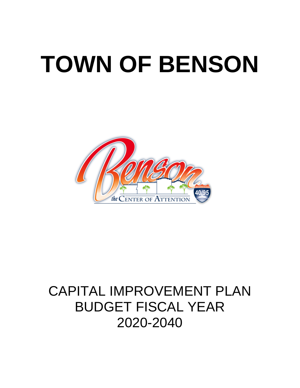# **TOWN OF BENSON**



# CAPITAL IMPROVEMENT PLAN BUDGET FISCAL YEAR 2020-2040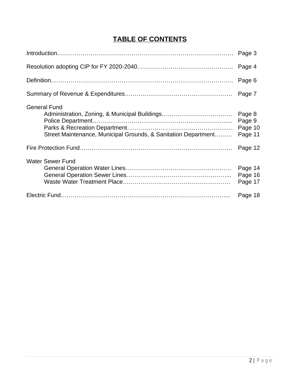# **TABLE OF CONTENTS**

|                                                                                                                                        | Page 3                                 |
|----------------------------------------------------------------------------------------------------------------------------------------|----------------------------------------|
|                                                                                                                                        | Page 4                                 |
|                                                                                                                                        | Page 6                                 |
|                                                                                                                                        | Page 7                                 |
| <b>General Fund</b><br>Administration, Zoning, & Municipal Buildings<br>Street Maintenance, Municipal Grounds, & Sanitation Department | Page 8<br>Page 9<br>Page 10<br>Page 11 |
|                                                                                                                                        | Page 12                                |
| <b>Water Sewer Fund</b>                                                                                                                | Page 14<br>Page 16<br>Page 17          |
|                                                                                                                                        | Page 18                                |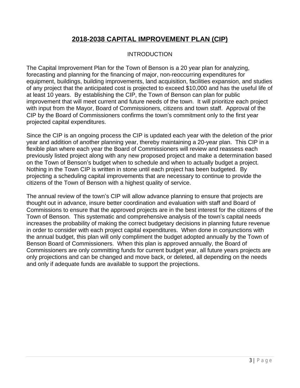# **2018-2038 CAPITAL IMPROVEMENT PLAN (CIP)**

#### **INTRODUCTION**

The Capital Improvement Plan for the Town of Benson is a 20 year plan for analyzing, forecasting and planning for the financing of major, non-reoccurring expenditures for equipment, buildings, building improvements, land acquisition, facilities expansion, and studies of any project that the anticipated cost is projected to exceed \$10,000 and has the useful life of at least 10 years. By establishing the CIP, the Town of Benson can plan for public improvement that will meet current and future needs of the town. It will prioritize each project with input from the Mayor, Board of Commissioners, citizens and town staff. Approval of the CIP by the Board of Commissioners confirms the town's commitment only to the first year projected capital expenditures.

Since the CIP is an ongoing process the CIP is updated each year with the deletion of the prior year and addition of another planning year, thereby maintaining a 20-year plan. This CIP in a flexible plan where each year the Board of Commissioners will review and reassess each previously listed project along with any new proposed project and make a determination based on the Town of Benson's budget when to schedule and when to actually budget a project. Nothing in the Town CIP is written in stone until each project has been budgeted. By projecting a scheduling capital improvements that are necessary to continue to provide the citizens of the Town of Benson with a highest quality of service.

The annual review of the town's CIP will allow advance planning to ensure that projects are thought out in advance, insure better coordination and evaluation with staff and Board of Commissions to ensure that the approved projects are in the best interest for the citizens of the Town of Benson. This systematic and comprehensive analysis of the town's capital needs increases the probability of making the correct budgetary decisions in planning future revenue in order to consider with each project capital expenditures. When done in conjunctions with the annual budget, this plan will only compliment the budget adopted annually by the Town of Benson Board of Commissioners. When this plan is approved annually, the Board of Commissioners are only committing funds for current budget year, all future years projects are only projections and can be changed and move back, or deleted, all depending on the needs and only if adequate funds are available to support the projections.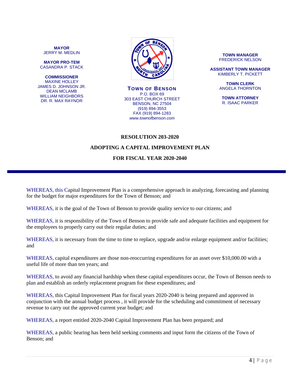**MAYOR** JERRY M. MEDLIN

**MAYOR PRO-TEM** CASANDRA P. STACK

**COMMISSIONER** MAXINE HOLLEY JAMES D. JOHNSON JR. DEAN MCLAMB WILLIAM NEIGHBORS DR. R. MAX RAYNOR



**TOWN OF BENSON** P.O. BOX 69 303 EAST CHURCH STREET BENSON, NC 27504 (919) 894-3553 FAX (919) 894-1283 *www.townofbenson.com*

#### **TOWN MANAGER** FREDERICK NELSON

**ASSISTANT TOWN MANAGER** KIMBERLY T. PICKETT

> **TOWN CLERK** ANGELA THORNTON

**TOWN ATTORNEY** R. ISAAC PARKER

#### **RESOLUTION 203-2020**

#### **ADOPTING A CAPITAL IMPROVEMENT PLAN**

#### **FOR FISCAL YEAR 2020-2040**

WHEREAS, this Capital Improvement Plan is a comprehensive approach in analyzing, forecasting and planning for the budget for major expenditures for the Town of Benson; and

WHEREAS, it is the goal of the Town of Benson to provide quality service to our citizens; and

WHEREAS, it is responsibility of the Town of Benson to provide safe and adequate facilities and equipment for the employees to properly carry out their regular duties; and

WHEREAS, it is necessary from the time to time to replace, upgrade and/or enlarge equipment and/or facilities; and

WHEREAS, capital expenditures are those non-reoccurring expenditures for an asset over \$10,000.00 with a useful life of more than ten years; and

WHEREAS, to avoid any financial hardship when these capital expenditures occur, the Town of Benson needs to plan and establish an orderly replacement program for these expenditures; and

WHEREAS, this Capital Improvement Plan for fiscal years 2020-2040 is being prepared and approved in conjunction with the annual budget process , it will provide for the scheduling and commitment of necessary revenue to carry out the approved current year budget; and

WHEREAS, a report entitled 2020-2040 Capital Improvement Plan has been prepared; and

WHEREAS, a public hearing has been held seeking comments and input form the citizens of the Town of Benson; and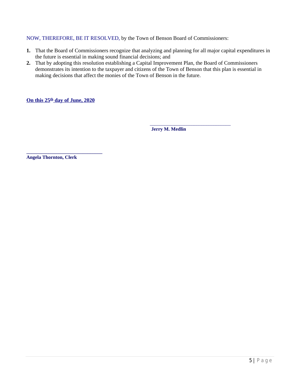#### NOW, THEREFORE, BE IT RESOLVED, by the Town of Benson Board of Commissioners:

- **1.** That the Board of Commissioners recognize that analyzing and planning for all major capital expenditures in the future is essential in making sound financial decisions; and
- **2.** That by adopting this resolution establishing a Capital Improvement Plan, the Board of Commissioners demonstrates its intention to the taxpayer and citizens of the Town of Benson that this plan is essential in making decisions that affect the monies of the Town of Benson in the future.

**On this 25th day of June, 2020**

**\_\_\_\_\_\_\_\_\_\_\_\_\_\_\_\_\_\_\_\_\_\_\_\_\_\_\_\_\_\_\_**

\_\_\_\_\_\_\_\_\_\_\_\_\_\_\_\_\_\_\_\_\_\_\_\_\_\_\_\_\_\_\_\_\_  **Jerry M. Medlin**

**Angela Thornton, Clerk**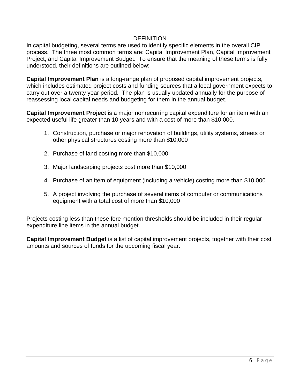#### **DEFINITION**

In capital budgeting, several terms are used to identify specific elements in the overall CIP process. The three most common terms are: Capital Improvement Plan, Capital Improvement Project, and Capital Improvement Budget. To ensure that the meaning of these terms is fully understood, their definitions are outlined below:

**Capital Improvement Plan** is a long-range plan of proposed capital improvement projects, which includes estimated project costs and funding sources that a local government expects to carry out over a twenty year period. The plan is usually updated annually for the purpose of reassessing local capital needs and budgeting for them in the annual budget.

**Capital Improvement Project** is a major nonrecurring capital expenditure for an item with an expected useful life greater than 10 years and with a cost of more than \$10,000.

- 1. Construction, purchase or major renovation of buildings, utility systems, streets or other physical structures costing more than \$10,000
- 2. Purchase of land costing more than \$10,000
- 3. Major landscaping projects cost more than \$10,000
- 4. Purchase of an item of equipment (including a vehicle) costing more than \$10,000
- 5. A project involving the purchase of several items of computer or communications equipment with a total cost of more than \$10,000

Projects costing less than these fore mention thresholds should be included in their regular expenditure line items in the annual budget.

**Capital Improvement Budget** is a list of capital improvement projects, together with their cost amounts and sources of funds for the upcoming fiscal year.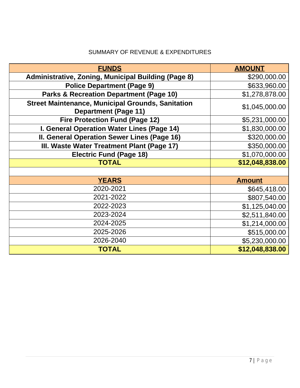### SUMMARY OF REVENUE & EXPENDITURES

| <b>FUNDS</b>                                                                            | <b>AMOUNT</b>   |
|-----------------------------------------------------------------------------------------|-----------------|
| <b>Administrative, Zoning, Municipal Building (Page 8)</b>                              | \$290,000.00    |
| <b>Police Department (Page 9)</b>                                                       | \$633,960.00    |
| <b>Parks &amp; Recreation Department (Page 10)</b>                                      | \$1,278,878.00  |
| <b>Street Maintenance, Municipal Grounds, Sanitation</b><br><b>Department (Page 11)</b> | \$1,045,000.00  |
| <b>Fire Protection Fund (Page 12)</b>                                                   | \$5,231,000.00  |
| I. General Operation Water Lines (Page 14)                                              | \$1,830,000.00  |
| II. General Operation Sewer Lines (Page 16)                                             | \$320,000.00    |
| III. Waste Water Treatment Plant (Page 17)                                              | \$350,000.00    |
| <b>Electric Fund (Page 18)</b>                                                          | \$1,070,000.00  |
| <b>TOTAL</b>                                                                            | \$12,048,838.00 |
|                                                                                         |                 |
| <b>YEARS</b>                                                                            | <b>Amount</b>   |
| 2020-2021                                                                               | \$645,418.00    |
| 2021-2022                                                                               | \$807,540.00    |
| 2022-2023                                                                               | \$1,125,040.00  |
| 2023-2024                                                                               | \$2,511,840.00  |
| 2024-2025                                                                               | \$1,214,000.00  |
| 2025-2026                                                                               | \$515,000.00    |
| 2026-2040                                                                               | \$5,230,000.00  |
| <b>TOTAL</b>                                                                            | \$12,048,838.00 |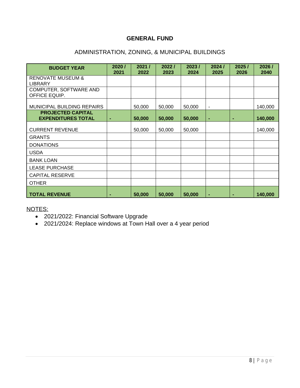#### **GENERAL FUND**

#### ADMINISTRATION, ZONING, & MUNICIPAL BUILDINGS

| <b>BUDGET YEAR</b>                                    | 2020/<br>2021  | 2021/<br>2022 | 2022/<br>2023 | 2023/<br>2024 | 2024/<br>2025            | 2025/<br>2026 | 2026/<br>2040 |
|-------------------------------------------------------|----------------|---------------|---------------|---------------|--------------------------|---------------|---------------|
| <b>RENOVATE MUSEUM &amp;</b><br><b>LIBRARY</b>        |                |               |               |               |                          |               |               |
| COMPUTER, SOFTWARE AND<br>OFFICE EQUIP.               |                |               |               |               |                          |               |               |
| MUNICIPAL BUILDING REPAIRS                            |                | 50,000        | 50,000        | 50,000        | $\overline{\phantom{a}}$ |               | 140,000       |
| <b>PROJECTED CAPITAL</b><br><b>EXPENDITURES TOTAL</b> | $\blacksquare$ | 50,000        | 50,000        | 50,000        | ٠                        | ٠             | 140,000       |
| <b>CURRENT REVENUE</b>                                |                | 50,000        | 50,000        | 50,000        |                          |               | 140,000       |
| <b>GRANTS</b>                                         |                |               |               |               |                          |               |               |
| <b>DONATIONS</b>                                      |                |               |               |               |                          |               |               |
| <b>USDA</b>                                           |                |               |               |               |                          |               |               |
| <b>BANK LOAN</b>                                      |                |               |               |               |                          |               |               |
| <b>LEASE PURCHASE</b>                                 |                |               |               |               |                          |               |               |
| <b>CAPITAL RESERVE</b>                                |                |               |               |               |                          |               |               |
| <b>OTHER</b>                                          |                |               |               |               |                          |               |               |
| <b>TOTAL REVENUE</b>                                  |                | 50,000        | 50,000        | 50,000        | $\blacksquare$           | ۰             | 140,000       |

NOTES:

- 2021/2022: Financial Software Upgrade
- 2021/2024: Replace windows at Town Hall over a 4 year period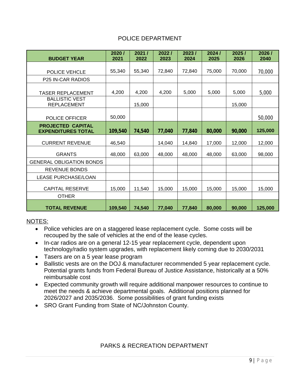#### POLICE DEPARTMENT

| <b>BUDGET YEAR</b>                                    | 2020/<br>2021 | 2021/<br>2022 | 2022/<br>2023 | 2023/<br>2024 | 2024/<br>2025 | 2025/<br>2026 | 2026/<br>2040 |
|-------------------------------------------------------|---------------|---------------|---------------|---------------|---------------|---------------|---------------|
|                                                       |               |               |               |               |               |               |               |
| POLICE VEHCLE                                         | 55,340        | 55,340        | 72,840        | 72,840        | 75,000        | 70,000        | 70,000        |
| P25 IN-CAR RADIOS                                     |               |               |               |               |               |               |               |
| TASER REPLACEMENT                                     | 4,200         | 4,200         | 4,200         | 5,000         | 5,000         | 5,000         | 5,000         |
| <b>BALLISTIC VEST</b><br><b>REPLACEMENT</b>           |               | 15,000        |               |               |               | 15,000        |               |
| POLICE OFFICER                                        | 50,000        |               |               |               |               |               | 50,000        |
| <b>PROJECTED CAPITAL</b><br><b>EXPENDITURES TOTAL</b> | 109,540       | 74,540        | 77,040        | 77,840        | 80,000        | 90,000        | 125,000       |
| <b>CURRENT REVENUE</b>                                | 46,540        |               | 14,040        | 14,840        | 17,000        | 12,000        | 12,000        |
| <b>GRANTS</b>                                         | 48,000        | 63,000        | 48,000        | 48,000        | 48,000        | 63,000        | 98,000        |
| <b>GENERAL OBLIGATION BONDS</b>                       |               |               |               |               |               |               |               |
| <b>REVENUE BONDS</b>                                  |               |               |               |               |               |               |               |
| <b>LEASE PURCHASE/LOAN</b>                            |               |               |               |               |               |               |               |
| <b>CAPITAL RESERVE</b><br><b>OTHER</b>                | 15,000        | 11,540        | 15,000        | 15,000        | 15,000        | 15,000        | 15,000        |
| <b>TOTAL REVENUE</b>                                  | 109,540       | 74,540        | 77,040        | 77,840        | 80,000        | 90,000        | 125,000       |

#### NOTES:

- Police vehicles are on a staggered lease replacement cycle. Some costs will be recouped by the sale of vehicles at the end of the lease cycles.
- In-car radios are on a general 12-15 year replacement cycle, dependent upon technology/radio system upgrades, with replacement likely coming due to 2030/2031
- Tasers are on a 5 year lease program
- Ballistic vests are on the DOJ & manufacturer recommended 5 year replacement cycle. Potential grants funds from Federal Bureau of Justice Assistance, historically at a 50% reimbursable cost
- Expected community growth will require additional manpower resources to continue to meet the needs & achieve departmental goals. Additional positions planned for 2026/2027 and 2035/2036. Some possibilities of grant funding exists
- SRO Grant Funding from State of NC/Johnston County.

#### PARKS & RECREATION DEPARTMENT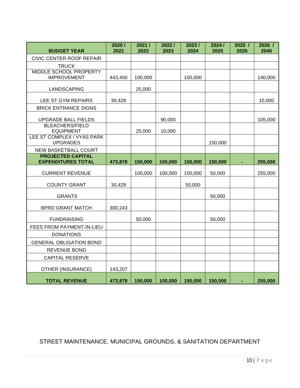| <b>BUDGET YEAR</b>                                    | 2020/<br>2021 | 2021/<br>2022 | 2022/<br>2023 | 2023/<br>2024 | 2024/<br>2025 | 2025/<br>2026 | 2026 /<br>2040 |
|-------------------------------------------------------|---------------|---------------|---------------|---------------|---------------|---------------|----------------|
| CIVIC CENTER ROOF REPAIR                              |               |               |               |               |               |               |                |
| <b>TRUCK</b>                                          |               |               |               |               |               |               |                |
| <b>MIDDLE SCHOOL PROPERTY</b><br><b>IMPROVEMENT</b>   | 443,450       | 100,000       |               | 150,000       |               |               | 140,000        |
| LANDSCAPING                                           |               | 25,000        |               |               |               |               |                |
| LEE ST GYM REPAIRS                                    | 30,428        |               |               |               |               |               | 10,000         |
| <b>BRICK ENTRANCE SIGNS</b>                           |               |               |               |               |               |               |                |
| <b>UPGRADE BALL FIELDS</b>                            |               |               | 90,000        |               |               |               | 105,000        |
| <b>BLEACHERS/FIELD</b><br><b>EQUIPMENT</b>            |               | 25,000        | 10,000        |               |               |               |                |
| LEE ST COMPLEX / VYAS PARK<br><b>UPGRADES</b>         |               |               |               |               | 150,000       |               |                |
| <b>NEW BASKETBALL COURT</b>                           |               |               |               |               |               |               |                |
| <b>PROJECTED CAPITAL</b><br><b>EXPENDITURES TOTAL</b> | 473,878       | 150,000       | 100,000       | 150,000       | 150,000       |               | 255,000        |
| <b>CURRENT REVENUE</b>                                |               | 100,000       | 100,000       | 100,000       | 50,000        |               | 255,000        |
| <b>COUNTY GRANT</b>                                   | 30,428        |               |               | 50,000        |               |               |                |
| <b>GRANTS</b>                                         |               |               |               |               | 50,000        |               |                |
| <b>BPRD GRANT MATCH</b>                               | 300,243       |               |               |               |               |               |                |
| <b>FUNDRAISING</b>                                    |               | 50,000        |               |               | 50,000        |               |                |
| FEES FROM PAYMENT-IN-LIEU                             |               |               |               |               |               |               |                |
| <b>DONATIONS</b>                                      |               |               |               |               |               |               |                |
| <b>GENERAL OBLIGATION BOND</b>                        |               |               |               |               |               |               |                |
| <b>REVENUE BOND</b>                                   |               |               |               |               |               |               |                |
| <b>CAPITAL RESERVE</b>                                |               |               |               |               |               |               |                |
| <b>OTHER (INSURANCE)</b>                              | 143,207       |               |               |               |               |               |                |
| <b>TOTAL REVENUE</b>                                  | 473,878       | 150,000       | 100,000       | 150,000       | 150,000       |               | 255,000        |

## STREET MAINTENANCE, MUNICIPAL GROUNDS, & SANITATION DEPARTMENT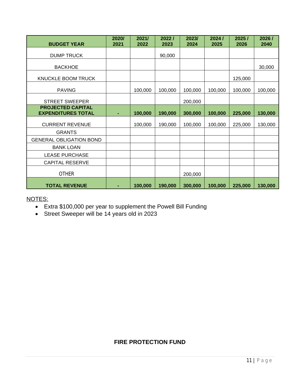| <b>BUDGET YEAR</b>                                    | 2020/<br>2021  | 2021/<br>2022 | 2022/<br>2023 | 2023/<br>2024 | 2024/<br>2025 | 2025/<br>2026 | 2026/<br>2040 |
|-------------------------------------------------------|----------------|---------------|---------------|---------------|---------------|---------------|---------------|
| <b>DUMP TRUCK</b>                                     |                |               | 90,000        |               |               |               |               |
| <b>BACKHOE</b>                                        |                |               |               |               |               |               | 30,000        |
| KNUCKLE BOOM TRUCK                                    |                |               |               |               |               | 125,000       |               |
| <b>PAVING</b>                                         |                | 100,000       | 100,000       | 100,000       | 100,000       | 100,000       | 100,000       |
| <b>STREET SWEEPER</b>                                 |                |               |               | 200,000       |               |               |               |
| <b>PROJECTED CAPITAL</b><br><b>EXPENDITURES TOTAL</b> | $\blacksquare$ | 100,000       | 190,000       | 300,000       | 100,000       | 225,000       | 130,000       |
| <b>CURRENT REVENUE</b>                                |                | 100,000       | 190,000       | 100,000       | 100,000       | 225,000       | 130,000       |
| <b>GRANTS</b>                                         |                |               |               |               |               |               |               |
| <b>GENERAL OBLIGATION BOND</b>                        |                |               |               |               |               |               |               |
| <b>BANK LOAN</b>                                      |                |               |               |               |               |               |               |
| <b>LEASE PURCHASE</b>                                 |                |               |               |               |               |               |               |
| <b>CAPITAL RESERVE</b>                                |                |               |               |               |               |               |               |
| <b>OTHER</b>                                          |                |               |               | 200,000       |               |               |               |
| <b>TOTAL REVENUE</b>                                  |                | 100,000       | 190,000       | 300,000       | 100,000       | 225,000       | 130,000       |

- Extra \$100,000 per year to supplement the Powell Bill Funding
- Street Sweeper will be 14 years old in 2023

#### **FIRE PROTECTION FUND**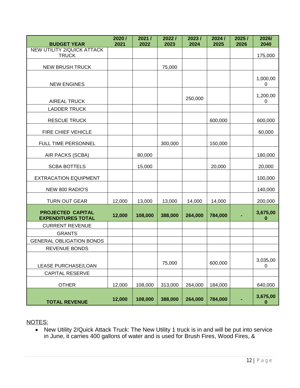| <b>BUDGET YEAR</b>                                    | 2020/<br>2021 | 2021/<br>2022 | 2022/<br>2023 | 2023/<br>2024 | 2024/<br>2025 | 2025/<br>2026 | 2026/<br>2040 |
|-------------------------------------------------------|---------------|---------------|---------------|---------------|---------------|---------------|---------------|
| NEW UTILITY 2/QUICK ATTACK<br><b>TRUCK</b>            |               |               |               |               |               |               | 175,000       |
| <b>NEW BRUSH TRUCK</b>                                |               |               | 75,000        |               |               |               |               |
|                                                       |               |               |               |               |               |               |               |
| <b>NEW ENGINES</b>                                    |               |               |               |               |               |               | 1,000,00<br>0 |
| <b>AIREAL TRUCK</b>                                   |               |               |               | 250,000       |               |               | 1,200,00<br>0 |
| <b>LADDER TRUCK</b>                                   |               |               |               |               |               |               |               |
| <b>RESCUE TRUCK</b>                                   |               |               |               |               | 600,000       |               | 600,000       |
| FIRE CHIEF VEHICLE                                    |               |               |               |               |               |               | 60,000        |
| FULL TIME PERSONNEL                                   |               |               | 300,000       |               | 150,000       |               |               |
| AIR PACKS (SCBA)                                      |               | 80,000        |               |               |               |               | 180,000       |
| <b>SCBA BOTTELS</b>                                   |               | 15,000        |               |               | 20,000        |               | 20,000        |
| <b>EXTRACATION EQUIPMENT</b>                          |               |               |               |               |               |               | 100,000       |
| NEW 800 RADIO'S                                       |               |               |               |               |               |               | 140,000       |
| <b>TURN OUT GEAR</b>                                  | 12,000        | 13,000        | 13,000        | 14,000        | 14,000        |               | 200,000       |
| <b>PROJECTED CAPITAL</b><br><b>EXPENDITURES TOTAL</b> | 12,000        | 108,000       | 388,000       | 264,000       | 784,000       |               | 3,675,00<br>0 |
| <b>CURRENT REVENUE</b>                                |               |               |               |               |               |               |               |
| <b>GRANTS</b>                                         |               |               |               |               |               |               |               |
| <b>GENERAL OBLIGATION BONDS</b>                       |               |               |               |               |               |               |               |
| <b>REVENUE BONDS</b>                                  |               |               |               |               |               |               |               |
| LEASE PURCHASE/LOAN                                   |               |               | 75,000        |               | 600,000       |               | 3,035,00<br>0 |
| <b>CAPITAL RESERVE</b>                                |               |               |               |               |               |               |               |
| <b>OTHER</b>                                          | 12,000        | 108,000       | 313,000       | 264,000       | 184,000       |               | 640,000       |
| <b>TOTAL REVENUE</b>                                  | 12,000        | 108,000       | 388,000       | 264,000       | 784,000       |               | 3,675,00<br>0 |

 New Utility 2/Quick Attack Truck: The New Utility 1 truck is in and will be put into service in June, it carries 400 gallons of water and is used for Brush Fires, Wood Fires, &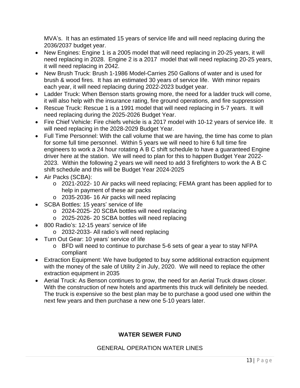MVA's. It has an estimated 15 years of service life and will need replacing during the 2036/2037 budget year.

- New Engines: Engine 1 is a 2005 model that will need replacing in 20-25 years, it will need replacing in 2028. Engine 2 is a 2017 model that will need replacing 20-25 years, it will need replacing in 2042.
- New Brush Truck: Brush 1-1986 Model-Carries 250 Gallons of water and is used for brush & wood fires. It has an estimated 30 years of service life. With minor repairs each year, it will need replacing during 2022-2023 budget year.
- Ladder Truck: When Benson starts growing more, the need for a ladder truck will come, it will also help with the insurance rating, fire ground operations, and fire suppression
- Rescue Truck: Rescue 1 is a 1991 model that will need replacing in 5-7 years. It will need replacing during the 2025-2026 Budget Year.
- Fire Chief Vehicle: Fire chiefs vehicle is a 2017 model with 10-12 years of service life. It will need replacing in the 2028-2029 Budget Year.
- Full Time Personnel: With the call volume that we are having, the time has come to plan for some full time personnel. Within 5 years we will need to hire 6 full time fire engineers to work a 24 hour rotating A B C shift schedule to have a guaranteed Engine driver here at the station. We will need to plan for this to happen Budget Year 2022- 2023. Within the following 2 years we will need to add 3 firefighters to work the A B C shift schedule and this will be Budget Year 2024-2025
- Air Packs (SCBA):
	- o 2021-2022- 10 Air packs will need replacing; FEMA grant has been applied for to help in payment of these air packs
	- o 2035-2036- 16 Air packs will need replacing
- SCBA Bottles: 15 years' service of life
	- o 2024-2025- 20 SCBA bottles will need replacing
	- o 2025-2026- 20 SCBA bottles will need replacing
- 800 Radio's: 12-15 years' service of life
	- o 2032-2033- All radio's will need replacing
- Turn Out Gear: 10 years' service of life
	- o BFD will need to continue to purchase 5-6 sets of gear a year to stay NFPA compliant
- Extraction Equipment: We have budgeted to buy some additional extraction equipment with the money of the sale of Utility 2 in July, 2020. We will need to replace the other extraction equipment in 2035
- Aerial Truck: As Benson continues to grow, the need for an Aerial Truck draws closer. With the construction of new hotels and apartments this truck will definitely be needed. The truck is expensive so the best plan may be to purchase a good used one within the next few years and then purchase a new one 5-10 years later.

#### **WATER SEWER FUND**

#### GENERAL OPERATION WATER LINES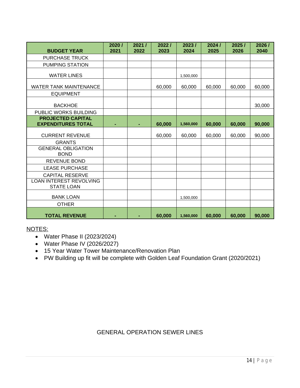| <b>BUDGET YEAR</b>                                    | 2020/<br>2021 | 2021/<br>2022 | 2022/<br>2023 | 2023/<br>2024 | 2024/<br>2025 | 2025/<br>2026 | 2026 /<br>2040 |
|-------------------------------------------------------|---------------|---------------|---------------|---------------|---------------|---------------|----------------|
| <b>PURCHASE TRUCK</b>                                 |               |               |               |               |               |               |                |
| <b>PUMPING STATION</b>                                |               |               |               |               |               |               |                |
| <b>WATER LINES</b>                                    |               |               |               | 1,500,000     |               |               |                |
| WATER TANK MAINTENANCE                                |               |               | 60,000        | 60,000        | 60,000        | 60,000        | 60,000         |
| <b>EQUIPMENT</b>                                      |               |               |               |               |               |               |                |
| <b>BACKHOE</b>                                        |               |               |               |               |               |               | 30,000         |
| PUBLIC WORKS BUILDING                                 |               |               |               |               |               |               |                |
| <b>PROJECTED CAPITAL</b><br><b>EXPENDITURES TOTAL</b> |               |               | 60,000        | 1,560,000     | 60,000        | 60,000        | 90,000         |
| <b>CURRENT REVENUE</b>                                |               |               | 60,000        | 60,000        | 60,000        | 60,000        | 90,000         |
| <b>GRANTS</b>                                         |               |               |               |               |               |               |                |
| <b>GENERAL OBLIGATION</b><br><b>BOND</b>              |               |               |               |               |               |               |                |
| <b>REVENUE BOND</b>                                   |               |               |               |               |               |               |                |
| <b>LEASE PURCHASE</b>                                 |               |               |               |               |               |               |                |
| <b>CAPITAL RESERVE</b>                                |               |               |               |               |               |               |                |
| <b>LOAN INTEREST REVOLVING</b><br><b>STATE LOAN</b>   |               |               |               |               |               |               |                |
| <b>BANK LOAN</b>                                      |               |               |               | 1,500,000     |               |               |                |
| <b>OTHER</b>                                          |               |               |               |               |               |               |                |
| <b>TOTAL REVENUE</b>                                  |               |               | 60,000        | 1,560,000     | 60,000        | 60,000        | 90,000         |

- Water Phase II (2023/2024)
- Water Phase IV (2026/2027)
- 15 Year Water Tower Maintenance/Renovation Plan
- PW Building up fit will be complete with Golden Leaf Foundation Grant (2020/2021)

# GENERAL OPERATION SEWER LINES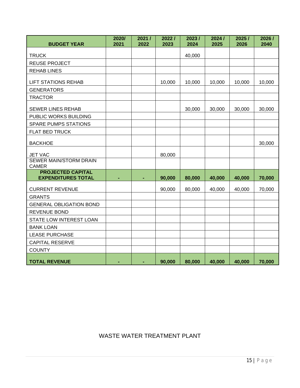| <b>BUDGET YEAR</b>                                    | 2020/<br>2021 | 2021/<br>2022 | 2022/<br>2023 | 2023/<br>2024 | 2024 /<br>2025 | 2025/<br>2026 | 2026/<br>2040 |
|-------------------------------------------------------|---------------|---------------|---------------|---------------|----------------|---------------|---------------|
| <b>TRUCK</b>                                          |               |               |               | 40,000        |                |               |               |
| <b>REUSE PROJECT</b>                                  |               |               |               |               |                |               |               |
| <b>REHAB LINES</b>                                    |               |               |               |               |                |               |               |
| <b>LIFT STATIONS REHAB</b>                            |               |               | 10,000        | 10,000        | 10,000         | 10,000        | 10,000        |
| <b>GENERATORS</b>                                     |               |               |               |               |                |               |               |
| <b>TRACTOR</b>                                        |               |               |               |               |                |               |               |
| <b>SEWER LINES REHAB</b>                              |               |               |               | 30,000        | 30,000         | 30,000        | 30,000        |
| PUBLIC WORKS BUILDING                                 |               |               |               |               |                |               |               |
| <b>SPARE PUMPS STATIONS</b>                           |               |               |               |               |                |               |               |
| FLAT BED TRUCK                                        |               |               |               |               |                |               |               |
| <b>BACKHOE</b>                                        |               |               |               |               |                |               | 30,000        |
| <b>JET VAC</b>                                        |               |               | 80,000        |               |                |               |               |
| SEWER MAIN/STORM DRAIN<br><b>CAMER</b>                |               |               |               |               |                |               |               |
| <b>PROJECTED CAPITAL</b><br><b>EXPENDITURES TOTAL</b> | ۰             |               | 90,000        | 80,000        | 40,000         | 40,000        | 70,000        |
| <b>CURRENT REVENUE</b>                                |               |               | 90,000        | 80,000        | 40,000         | 40,000        | 70,000        |
| <b>GRANTS</b>                                         |               |               |               |               |                |               |               |
| <b>GENERAL OBLIGATION BOND</b>                        |               |               |               |               |                |               |               |
| REVENUE BOND                                          |               |               |               |               |                |               |               |
| STATE LOW INTEREST LOAN                               |               |               |               |               |                |               |               |
| <b>BANK LOAN</b>                                      |               |               |               |               |                |               |               |
| <b>LEASE PURCHASE</b>                                 |               |               |               |               |                |               |               |
| <b>CAPITAL RESERVE</b>                                |               |               |               |               |                |               |               |
| <b>COUNTY</b>                                         |               |               |               |               |                |               |               |
| <b>TOTAL REVENUE</b>                                  | ٠             |               | 90,000        | 80,000        | 40,000         | 40,000        | 70,000        |

WASTE WATER TREATMENT PLANT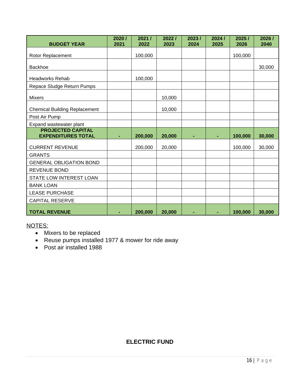| <b>BUDGET YEAR</b>                                    | 2020/<br>2021  | 2021/<br>2022 | 2022/<br>2023 | 2023/<br>2024 | 2024/<br>2025 | 2025/<br>2026 | 2026/<br>2040 |
|-------------------------------------------------------|----------------|---------------|---------------|---------------|---------------|---------------|---------------|
| Rotor Replacement                                     |                | 100,000       |               |               |               | 100,000       |               |
| <b>Backhoe</b>                                        |                |               |               |               |               |               | 30,000        |
| <b>Headworks Rehab</b>                                |                | 100,000       |               |               |               |               |               |
| Repace Sludge Return Pumps                            |                |               |               |               |               |               |               |
| <b>Mixers</b>                                         |                |               | 10,000        |               |               |               |               |
| <b>Chemical Building Replacement</b>                  |                |               | 10,000        |               |               |               |               |
| Post Air Pump                                         |                |               |               |               |               |               |               |
| Expand wastewater plant                               |                |               |               |               |               |               |               |
| <b>PROJECTED CAPITAL</b><br><b>EXPENDITURES TOTAL</b> |                | 200,000       | 20,000        |               |               | 100,000       | 30,000        |
| <b>CURRENT REVENUE</b>                                |                | 200,000       | 20,000        |               |               | 100,000       | 30,000        |
| <b>GRANTS</b>                                         |                |               |               |               |               |               |               |
| <b>GENERAL OBLIGATION BOND</b>                        |                |               |               |               |               |               |               |
| <b>REVENUE BOND</b>                                   |                |               |               |               |               |               |               |
| STATE LOW INTEREST LOAN                               |                |               |               |               |               |               |               |
| <b>BANK LOAN</b>                                      |                |               |               |               |               |               |               |
| <b>LEASE PURCHASE</b>                                 |                |               |               |               |               |               |               |
| <b>CAPITAL RESERVE</b>                                |                |               |               |               |               |               |               |
| <b>TOTAL REVENUE</b>                                  | $\blacksquare$ | 200,000       | 20,000        | ۰             | ٠             | 100,000       | 30,000        |

- Mixers to be replaced
- Reuse pumps installed 1977 & mower for ride away
- Post air installed 1988

#### **ELECTRIC FUND**